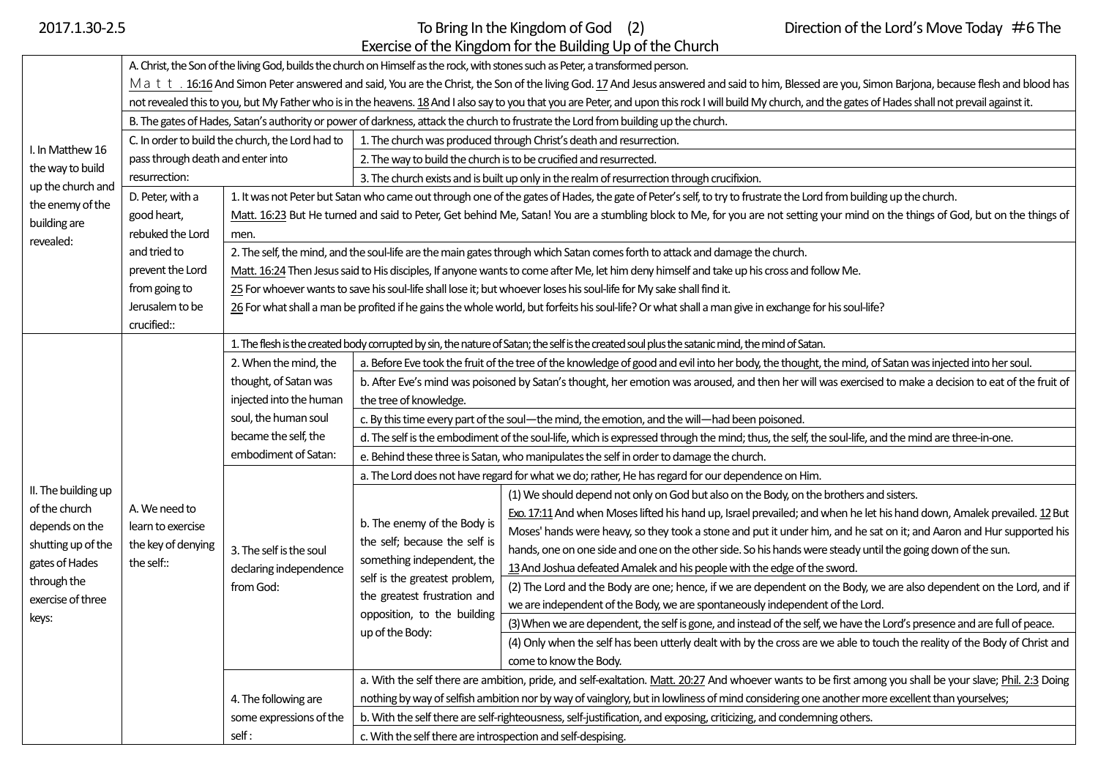## 2017.1.30-2.5 **To Bring In the Kingdom of God** (2) Direction of the Lord's Move Today #6 The Exercise of the Kingdom for the Building Up of the Church

| I. In Matthew 16<br>the way to build<br>up the church and<br>the enemy of the<br>building are<br>revealed: | A. Christ, the Son of the living God, builds the church on Himself as the rock, with stones such as Peter, a transformed person.                                                                            |                                                                                                                                                                                                                                                                                                                          |                                                                                                                                                                                                               |                                                                                                                            |  |  |  |
|------------------------------------------------------------------------------------------------------------|-------------------------------------------------------------------------------------------------------------------------------------------------------------------------------------------------------------|--------------------------------------------------------------------------------------------------------------------------------------------------------------------------------------------------------------------------------------------------------------------------------------------------------------------------|---------------------------------------------------------------------------------------------------------------------------------------------------------------------------------------------------------------|----------------------------------------------------------------------------------------------------------------------------|--|--|--|
|                                                                                                            | Mati. 16:16 And Simon Peter answered and said, You are the Christ, the Son of the living God. 17 And Jesus answered and said to him, Blessed are you, Simon Barjona, because flesh and blood has            |                                                                                                                                                                                                                                                                                                                          |                                                                                                                                                                                                               |                                                                                                                            |  |  |  |
|                                                                                                            | not revealed this to you, but My Father who is in the heavens. 18 And I also say to you that you are Peter, and upon this rock I will build My church, and the gates of Hades shall not prevail against it. |                                                                                                                                                                                                                                                                                                                          |                                                                                                                                                                                                               |                                                                                                                            |  |  |  |
|                                                                                                            | B. The gates of Hades, Satan's authority or power of darkness, attack the church to frustrate the Lord from building up the church.                                                                         |                                                                                                                                                                                                                                                                                                                          |                                                                                                                                                                                                               |                                                                                                                            |  |  |  |
|                                                                                                            | C. In order to build the church, the Lord had to<br>pass through death and enter into<br>resurrection:                                                                                                      |                                                                                                                                                                                                                                                                                                                          | 1. The church was produced through Christ's death and resurrection.                                                                                                                                           |                                                                                                                            |  |  |  |
|                                                                                                            |                                                                                                                                                                                                             |                                                                                                                                                                                                                                                                                                                          | 2. The way to build the church is to be crucified and resurrected.                                                                                                                                            |                                                                                                                            |  |  |  |
|                                                                                                            |                                                                                                                                                                                                             |                                                                                                                                                                                                                                                                                                                          | 3. The church exists and is built up only in the realm of resurrection through crucifixion.                                                                                                                   |                                                                                                                            |  |  |  |
|                                                                                                            | D. Peter, with a                                                                                                                                                                                            |                                                                                                                                                                                                                                                                                                                          | 1. It was not Peter but Satan who came out through one of the gates of Hades, the gate of Peter's self, to try to frustrate the Lord from building up the church.                                             |                                                                                                                            |  |  |  |
|                                                                                                            | good heart,                                                                                                                                                                                                 | Matt. 16:23 But He turned and said to Peter, Get behind Me, Satan! You are a stumbling block to Me, for you are not setting your mind on the things of God, but on the things of<br>men.<br>2. The self, the mind, and the soul-life are the main gates through which Satan comes forth to attack and damage the church. |                                                                                                                                                                                                               |                                                                                                                            |  |  |  |
|                                                                                                            | rebuked the Lord                                                                                                                                                                                            |                                                                                                                                                                                                                                                                                                                          |                                                                                                                                                                                                               |                                                                                                                            |  |  |  |
|                                                                                                            | and tried to                                                                                                                                                                                                |                                                                                                                                                                                                                                                                                                                          |                                                                                                                                                                                                               |                                                                                                                            |  |  |  |
|                                                                                                            | prevent the Lord                                                                                                                                                                                            | Matt. 16:24 Then Jesus said to His disciples, If anyone wants to come after Me, let him deny himself and take up his cross and follow Me.                                                                                                                                                                                |                                                                                                                                                                                                               |                                                                                                                            |  |  |  |
|                                                                                                            | from going to                                                                                                                                                                                               | 25 For whoever wants to save his soul-life shall lose it; but whoever loses his soul-life for My sake shall find it.                                                                                                                                                                                                     |                                                                                                                                                                                                               |                                                                                                                            |  |  |  |
|                                                                                                            | Jerusalem to be                                                                                                                                                                                             | 26 For what shall a man be profited if he gains the whole world, but forfeits his soul-life? Or what shall a man give in exchange for his soul-life?                                                                                                                                                                     |                                                                                                                                                                                                               |                                                                                                                            |  |  |  |
|                                                                                                            | crucified::                                                                                                                                                                                                 |                                                                                                                                                                                                                                                                                                                          |                                                                                                                                                                                                               |                                                                                                                            |  |  |  |
|                                                                                                            | A. We need to<br>learn to exercise<br>the key of denying<br>the self::                                                                                                                                      | 1. The flesh is the created body corrupted by sin, the nature of Satan; the self is the created soul plus the satanic mind, the mind of Satan.                                                                                                                                                                           |                                                                                                                                                                                                               |                                                                                                                            |  |  |  |
|                                                                                                            |                                                                                                                                                                                                             | 2. When the mind, the                                                                                                                                                                                                                                                                                                    | a. Before Eve took the fruit of the tree of the knowledge of good and evil into her body, the thought, the mind, of Satan was injected into her soul.                                                         |                                                                                                                            |  |  |  |
|                                                                                                            |                                                                                                                                                                                                             | thought, of Satan was                                                                                                                                                                                                                                                                                                    | b. After Eve's mind was poisoned by Satan's thought, her emotion was aroused, and then her will was exercised to make a decision to eat of the fruit of                                                       |                                                                                                                            |  |  |  |
|                                                                                                            |                                                                                                                                                                                                             | injected into the human<br>soul, the human soul<br>became the self, the<br>embodiment of Satan:                                                                                                                                                                                                                          | the tree of knowledge.                                                                                                                                                                                        |                                                                                                                            |  |  |  |
|                                                                                                            |                                                                                                                                                                                                             |                                                                                                                                                                                                                                                                                                                          | c. By this time every part of the soul-the mind, the emotion, and the will-had been poisoned.                                                                                                                 |                                                                                                                            |  |  |  |
|                                                                                                            |                                                                                                                                                                                                             |                                                                                                                                                                                                                                                                                                                          | d. The self is the embodiment of the soul-life, which is expressed through the mind; thus, the self, the soul-life, and the mind are three-in-one.                                                            |                                                                                                                            |  |  |  |
|                                                                                                            |                                                                                                                                                                                                             |                                                                                                                                                                                                                                                                                                                          | e. Behind these three is Satan, who manipulates the self in order to damage the church.                                                                                                                       |                                                                                                                            |  |  |  |
|                                                                                                            |                                                                                                                                                                                                             |                                                                                                                                                                                                                                                                                                                          | a. The Lord does not have regard for what we do; rather, He has regard for our dependence on Him.                                                                                                             |                                                                                                                            |  |  |  |
| II. The building up                                                                                        |                                                                                                                                                                                                             | 3. The self is the soul<br>declaring independence<br>from God:                                                                                                                                                                                                                                                           | b. The enemy of the Body is<br>the self; because the self is<br>something independent, the<br>self is the greatest problem,<br>the greatest frustration and<br>opposition, to the building<br>up of the Body: | (1) We should depend not only on God but also on the Body, on the brothers and sisters.                                    |  |  |  |
| of the church                                                                                              |                                                                                                                                                                                                             |                                                                                                                                                                                                                                                                                                                          |                                                                                                                                                                                                               | Exo. 17:11 And when Moses lifted his hand up, Israel prevailed; and when he let his hand down, Amalek prevailed. 12 But    |  |  |  |
| depends on the<br>shutting up of the<br>gates of Hades                                                     |                                                                                                                                                                                                             |                                                                                                                                                                                                                                                                                                                          |                                                                                                                                                                                                               | Moses' hands were heavy, so they took a stone and put it under him, and he sat on it; and Aaron and Hur supported his      |  |  |  |
|                                                                                                            |                                                                                                                                                                                                             |                                                                                                                                                                                                                                                                                                                          |                                                                                                                                                                                                               | hands, one on one side and one on the other side. So his hands were steady until the going down of the sun.                |  |  |  |
|                                                                                                            |                                                                                                                                                                                                             |                                                                                                                                                                                                                                                                                                                          |                                                                                                                                                                                                               | 13 And Joshua defeated Amalek and his people with the edge of the sword.                                                   |  |  |  |
| through the                                                                                                |                                                                                                                                                                                                             |                                                                                                                                                                                                                                                                                                                          |                                                                                                                                                                                                               | (2) The Lord and the Body are one; hence, if we are dependent on the Body, we are also dependent on the Lord, and if       |  |  |  |
| exercise of three                                                                                          |                                                                                                                                                                                                             |                                                                                                                                                                                                                                                                                                                          |                                                                                                                                                                                                               | we are independent of the Body, we are spontaneously independent of the Lord.                                              |  |  |  |
| keys:                                                                                                      |                                                                                                                                                                                                             |                                                                                                                                                                                                                                                                                                                          |                                                                                                                                                                                                               | (3) When we are dependent, the self is gone, and instead of the self, we have the Lord's presence and are full of peace.   |  |  |  |
|                                                                                                            |                                                                                                                                                                                                             |                                                                                                                                                                                                                                                                                                                          |                                                                                                                                                                                                               | (4) Only when the self has been utterly dealt with by the cross are we able to touch the reality of the Body of Christ and |  |  |  |
|                                                                                                            |                                                                                                                                                                                                             |                                                                                                                                                                                                                                                                                                                          |                                                                                                                                                                                                               | come to know the Body.                                                                                                     |  |  |  |
|                                                                                                            |                                                                                                                                                                                                             | 4. The following are<br>some expressions of the                                                                                                                                                                                                                                                                          | a. With the self there are ambition, pride, and self-exaltation. Matt. 20:27 And whoever wants to be first among you shall be your slave; Phil. 2:3 Doing                                                     |                                                                                                                            |  |  |  |
|                                                                                                            |                                                                                                                                                                                                             |                                                                                                                                                                                                                                                                                                                          | nothing by way of selfish ambition nor by way of vainglory, but in lowliness of mind considering one another more excellent than yourselves;                                                                  |                                                                                                                            |  |  |  |
|                                                                                                            |                                                                                                                                                                                                             |                                                                                                                                                                                                                                                                                                                          | b. With the self there are self-righteousness, self-justification, and exposing, criticizing, and condemning others.                                                                                          |                                                                                                                            |  |  |  |
|                                                                                                            |                                                                                                                                                                                                             | self:                                                                                                                                                                                                                                                                                                                    | c. With the self there are introspection and self-despising.                                                                                                                                                  |                                                                                                                            |  |  |  |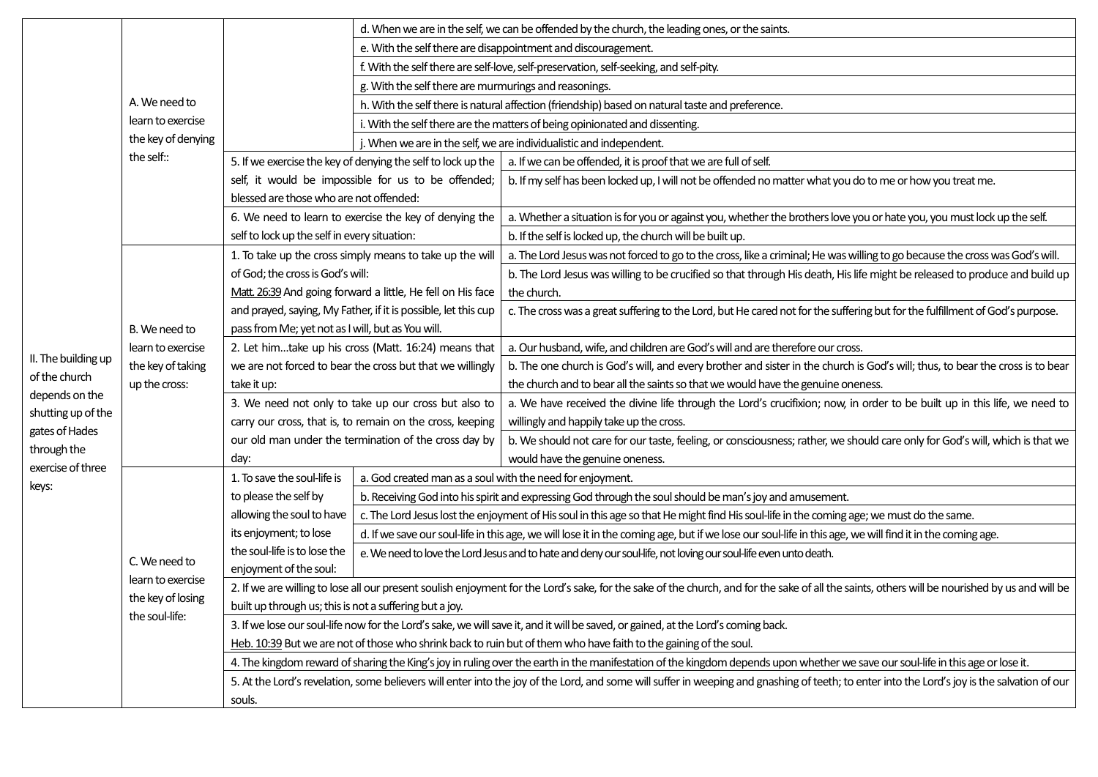|                     | A. We need to<br>learn to exercise<br>the key of denying<br>the self::    |                                                                                                                                                                                                | d. When we are in the self, we can be offended by the church, the leading ones, or the saints.          |                                                                                                                                                                 |  |
|---------------------|---------------------------------------------------------------------------|------------------------------------------------------------------------------------------------------------------------------------------------------------------------------------------------|---------------------------------------------------------------------------------------------------------|-----------------------------------------------------------------------------------------------------------------------------------------------------------------|--|
|                     |                                                                           |                                                                                                                                                                                                |                                                                                                         | e. With the self there are disappointment and discouragement.                                                                                                   |  |
|                     |                                                                           | f. With the self there are self-love, self-preservation, self-seeking, and self-pity.                                                                                                          |                                                                                                         |                                                                                                                                                                 |  |
|                     |                                                                           |                                                                                                                                                                                                | g. With the self there are murmurings and reasonings.                                                   |                                                                                                                                                                 |  |
|                     |                                                                           |                                                                                                                                                                                                | h. With the self there is natural affection (friendship) based on natural taste and preference.         |                                                                                                                                                                 |  |
|                     |                                                                           |                                                                                                                                                                                                | i. With the self there are the matters of being opinionated and dissenting.                             |                                                                                                                                                                 |  |
|                     |                                                                           |                                                                                                                                                                                                | j. When we are in the self, we are individualistic and independent.                                     |                                                                                                                                                                 |  |
|                     |                                                                           | 5. If we exercise the key of denying the self to lock up the                                                                                                                                   |                                                                                                         | a. If we can be offended, it is proof that we are full of self.                                                                                                 |  |
|                     |                                                                           | self, it would be impossible for us to be offended;                                                                                                                                            |                                                                                                         | b. If my self has been locked up, I will not be offended no matter what you do to me or how you treat me.                                                       |  |
|                     |                                                                           | blessed are those who are not offended:                                                                                                                                                        |                                                                                                         |                                                                                                                                                                 |  |
|                     |                                                                           | 6. We need to learn to exercise the key of denying the                                                                                                                                         |                                                                                                         | a. Whether a situation is for you or against you, whether the brothers love you or hate you, you must lock up the self.                                         |  |
|                     |                                                                           | self to lock up the self in every situation:                                                                                                                                                   |                                                                                                         | b. If the self is locked up, the church will be built up.                                                                                                       |  |
|                     | B. We need to<br>learn to exercise<br>the key of taking<br>up the cross:  | 1. To take up the cross simply means to take up the will                                                                                                                                       |                                                                                                         | a. The Lord Jesus was not forced to go to the cross, like a criminal; He was willing to go because the cross was God's will.                                    |  |
|                     |                                                                           | of God; the cross is God's will:                                                                                                                                                               |                                                                                                         | b. The Lord Jesus was willing to be crucified so that through His death, His life might be released to produce and build up                                     |  |
|                     |                                                                           | Matt. 26:39 And going forward a little, He fell on His face                                                                                                                                    |                                                                                                         | the church.                                                                                                                                                     |  |
|                     |                                                                           | and prayed, saying, My Father, if it is possible, let this cup                                                                                                                                 |                                                                                                         | c. The cross was a great suffering to the Lord, but He cared not for the suffering but for the fulfillment of God's purpose.                                    |  |
|                     |                                                                           | pass from Me; yet not as I will, but as You will.                                                                                                                                              |                                                                                                         |                                                                                                                                                                 |  |
| II. The building up |                                                                           | 2. Let himtake up his cross (Matt. 16:24) means that                                                                                                                                           |                                                                                                         | a. Our husband, wife, and children are God's will and are therefore our cross.                                                                                  |  |
| of the church       |                                                                           | we are not forced to bear the cross but that we willingly                                                                                                                                      |                                                                                                         | b. The one church is God's will, and every brother and sister in the church is God's will; thus, to bear the cross is to bear                                   |  |
| depends on the      |                                                                           | take it up:                                                                                                                                                                                    |                                                                                                         | the church and to bear all the saints so that we would have the genuine oneness.                                                                                |  |
| shutting up of the  |                                                                           | 3. We need not only to take up our cross but also to                                                                                                                                           |                                                                                                         | a. We have received the divine life through the Lord's crucifixion; now, in order to be built up in this life, we need to                                       |  |
| gates of Hades      |                                                                           | carry our cross, that is, to remain on the cross, keeping                                                                                                                                      |                                                                                                         | willingly and happily take up the cross.                                                                                                                        |  |
| through the         |                                                                           | our old man under the termination of the cross day by<br>day:                                                                                                                                  |                                                                                                         | b. We should not care for our taste, feeling, or consciousness; rather, we should care only for God's will, which is that we<br>would have the genuine oneness. |  |
| exercise of three   |                                                                           | 1. To save the soul-life is                                                                                                                                                                    | a. God created man as a soul with the need for enjoyment.                                               |                                                                                                                                                                 |  |
| keys:               | C. We need to<br>learn to exercise<br>the key of losing<br>the soul-life: | to please the self by                                                                                                                                                                          | b. Receiving God into his spirit and expressing God through the soul should be man's joy and amusement. |                                                                                                                                                                 |  |
|                     |                                                                           | allowing the soul to have                                                                                                                                                                      |                                                                                                         | c. The Lord Jesus lost the enjoyment of His soul in this age so that He might find His soul-life in the coming age; we must do the same.                        |  |
|                     |                                                                           | its enjoyment; to lose                                                                                                                                                                         |                                                                                                         | d. If we save our soul-life in this age, we will lose it in the coming age, but if we lose our soul-life in this age, we will find it in the coming age.        |  |
|                     |                                                                           | the soul-life is to lose the                                                                                                                                                                   |                                                                                                         | e. We need to love the Lord Jesus and to hate and deny our soul-life, not loving our soul-life even unto death.                                                 |  |
|                     |                                                                           | enjoyment of the soul:                                                                                                                                                                         |                                                                                                         |                                                                                                                                                                 |  |
|                     |                                                                           | 2. If we are willing to lose all our present soulish enjoyment for the Lord's sake, for the sake of the church, and for the sake of all the saints, others will be nourished by us and will be |                                                                                                         |                                                                                                                                                                 |  |
|                     |                                                                           | built up through us; this is not a suffering but a joy.                                                                                                                                        |                                                                                                         |                                                                                                                                                                 |  |
|                     |                                                                           | 3. If we lose our soul-life now for the Lord's sake, we will save it, and it will be saved, or gained, at the Lord's coming back.                                                              |                                                                                                         |                                                                                                                                                                 |  |
|                     |                                                                           | Heb. 10:39 But we are not of those who shrink back to ruin but of them who have faith to the gaining of the soul.                                                                              |                                                                                                         |                                                                                                                                                                 |  |
|                     |                                                                           | 4. The kingdom reward of sharing the King's joy in ruling over the earth in the manifestation of the kingdom depends upon whether we save our soul-life in this age or lose it.                |                                                                                                         |                                                                                                                                                                 |  |
|                     |                                                                           | 5. At the Lord's revelation, some believers will enter into the joy of the Lord, and some will suffer in weeping and gnashing of teeth; to enter into the Lord's joy is the salvation of our   |                                                                                                         |                                                                                                                                                                 |  |
|                     |                                                                           | souls.                                                                                                                                                                                         |                                                                                                         |                                                                                                                                                                 |  |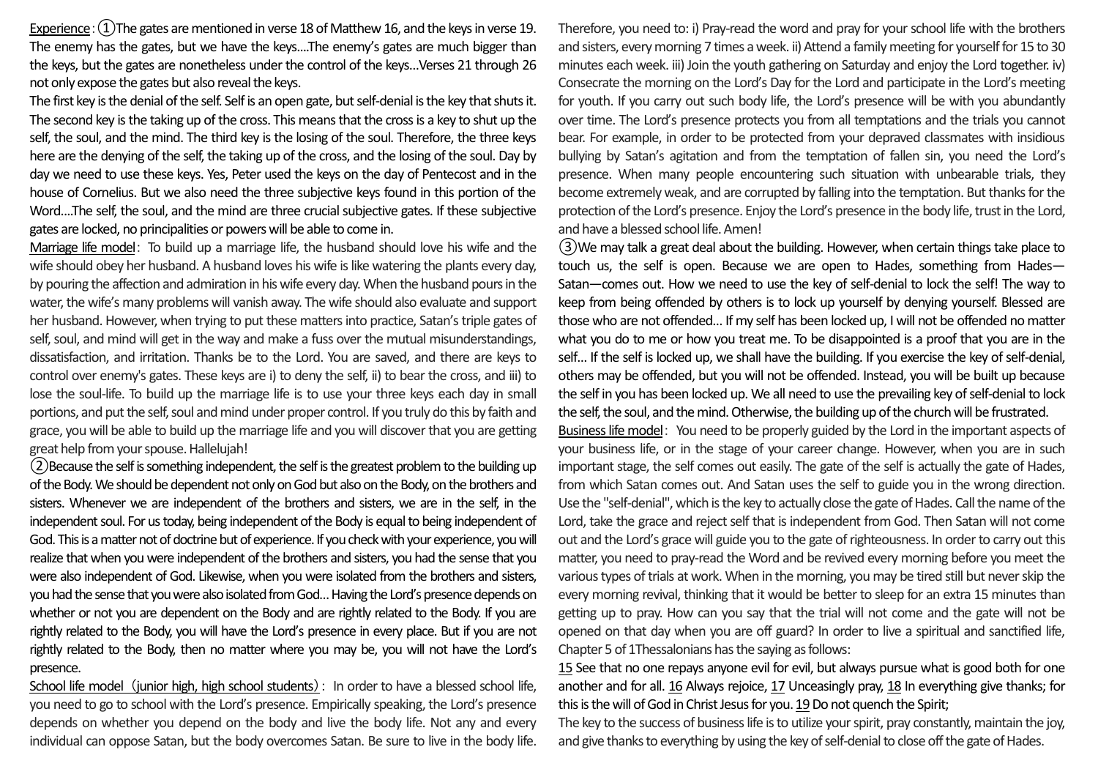Experience:  $(1)$ The gates are mentioned in verse 18 of Matthew 16, and the keys in verse 19. The enemy has the gates, but we have the keys....The enemy's gates are much bigger than the keys, but the gates are nonetheless under the control of the keys…Verses 21 through 26 not only expose the gates but also reveal the keys.

The first key is the denial of the self. Self is an open gate, but self-denial is the key that shuts it. The second key is the taking up of the cross. This means that the cross is a key to shut up the self, the soul, and the mind. The third key is the losing of the soul. Therefore, the three keys here are the denying of the self, the taking up of the cross, and the losing of the soul. Day by day we need to use these keys. Yes, Peter used the keys on the day of Pentecost and in the house of Cornelius. But we also need the three subjective keys found in this portion of the Word....The self, the soul, and the mind are three crucial subjective gates. If these subjective gates are locked, no principalities or powers will be able to come in.

Marriage life model: To build up a marriage life, the husband should love his wife and the wife should obey her husband. A husband loves his wife is like watering the plants every day, by pouring the affection and admiration in his wife every day. When the husband pours in the water, the wife's many problems will vanish away. The wife should also evaluate and support her husband. However, when trying to put these matters into practice, Satan's triple gates of self, soul, and mind will get in the way and make a fuss over the mutual misunderstandings, dissatisfaction, and irritation. Thanks be to the Lord. You are saved, and there are keys to control over enemy's gates. These keys are i) to deny the self, ii) to bear the cross, and iii) to lose the soul-life. To build up the marriage life is to use your three keys each day in small portions, and put the self, soul and mind under proper control. If you truly do this by faith and grace, you will be able to build up the marriage life and you will discoverthat you are getting great help from your spouse. Hallelujah!

②Because the self is something independent, the self is the greatest problem to the building up of the Body. We should be dependent not only on God but also on the Body, on the brothers and sisters. Whenever we are independent of the brothers and sisters, we are in the self, in the independent soul. For us today, being independent of the Body is equal to being independent of God. This is a matter not of doctrine but of experience. If you check with your experience, you will realize that when you were independent of the brothers and sisters, you had the sense that you were also independent of God. Likewise, when you were isolated from the brothers and sisters, you had the sense that you were also isolated from God… Having the Lord's presence depends on whether or not you are dependent on the Body and are rightly related to the Body. If you are rightly related to the Body, you will have the Lord's presence in every place. But if you are not rightly related to the Body, then no matter where you may be, you will not have the Lord's presence.

School life model (junior high, high school students): In order to have a blessed school life, you need to go to school with the Lord's presence. Empirically speaking, the Lord's presence depends on whether you depend on the body and live the body life. Not any and every individual can oppose Satan, but the body overcomes Satan. Be sure to live in the body life. Therefore, you need to: i) Pray-read the word and pray for your school life with the brothers and sisters, every morning 7 times a week. ii) Attend a family meeting for yourself for 15 to 30 minutes each week. iii) Join the youth gathering on Saturday and enjoy the Lord together. iv) Consecrate the morning on the Lord's Day for the Lord and participate in the Lord's meeting for youth. If you carry out such body life, the Lord's presence will be with you abundantly over time. The Lord's presence protects you from all temptations and the trials you cannot bear. For example, in order to be protected from your depraved classmates with insidious bullying by Satan's agitation and from the temptation of fallen sin, you need the Lord's presence. When many people encountering such situation with unbearable trials, they become extremely weak, and are corrupted by falling into the temptation. But thanks for the protection of the Lord's presence. Enjoy the Lord's presence in the body life, trust in the Lord, and have a blessed school life. Amen!

③We may talk a great deal about the building. However, when certain things take place to touch us, the self is open. Because we are open to Hades, something from Hades— Satan—comes out. How we need to use the key of self-denial to lock the self! The way to keep from being offended by others is to lock up yourself by denying yourself. Blessed are those who are not offended… If my self has been locked up, I will not be offended no matter what you do to me or how you treat me. To be disappointed is a proof that you are in the self… If the self is locked up, we shall have the building. If you exercise the key of self-denial, others may be offended, but you will not be offended. Instead, you will be built up because the self in you has been locked up. We all need to use the prevailing key of self-denial to lock the self, the soul, and the mind. Otherwise, the building up of the church will be frustrated.

Business life model: You need to be properly guided by the Lord in the important aspects of your business life, or in the stage of your career change. However, when you are in such important stage, the self comes out easily. The gate of the self is actually the gate of Hades, from which Satan comes out. And Satan uses the self to guide you in the wrong direction. Use the "self-denial", which is the key to actually close the gate of Hades. Call the name of the Lord, take the grace and reject self that is independent from God. Then Satan will not come out and the Lord's grace will guide you to the gate of righteousness. In order to carry out this matter, you need to pray-read the Word and be revived every morning before you meet the various types of trials at work. When in the morning, youmay be tired still but never skip the every morning revival, thinking that it would be better to sleep for an extra 15 minutes than getting up to pray. How can you say that the trial will not come and the gate will not be opened on that day when you are off guard? In order to live a spiritual and sanctified life, Chapter 5 of 1Thessalonians has the saying as follows:

15 See that no one repays anyone evil for evil, but always pursue what is good both for one another and for all. 16 Always rejoice, 17 Unceasingly pray, 18 In everything give thanks; for this is the will of God in Christ Jesus for you. 19 Do not quench the Spirit;

The key to the success of business life is to utilize your spirit, pray constantly, maintain the joy, and give thanks to everything by using the key of self-denial to close off the gate of Hades.